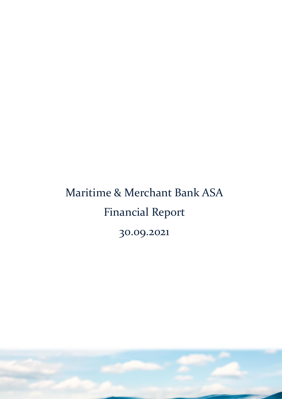# Maritime & Merchant Bank ASA Financial Report 30.09.2021

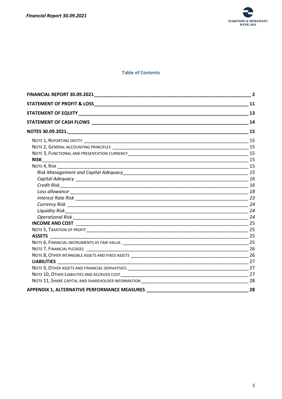

## **Table of Contents**

| <b>FINANCIAL REPORT 30.09.2021</b>                  | $\overline{\mathbf{2}}$ |
|-----------------------------------------------------|-------------------------|
|                                                     |                         |
|                                                     | 13                      |
|                                                     | 14                      |
|                                                     |                         |
|                                                     |                         |
|                                                     | 15                      |
|                                                     |                         |
|                                                     |                         |
|                                                     |                         |
|                                                     |                         |
|                                                     |                         |
|                                                     |                         |
|                                                     |                         |
|                                                     |                         |
|                                                     | 24                      |
|                                                     |                         |
|                                                     | 24                      |
|                                                     |                         |
|                                                     | 25                      |
|                                                     | 25                      |
|                                                     |                         |
|                                                     |                         |
|                                                     |                         |
|                                                     |                         |
|                                                     | 27                      |
|                                                     | 27                      |
|                                                     |                         |
| <b>APPENDIX 1, ALTERNATIVE PERFORMANCE MEASURES</b> | 28                      |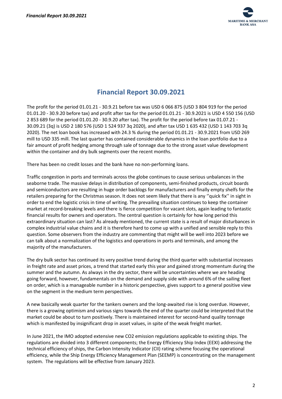

# **Financial Report 30.09.2021**

<span id="page-2-0"></span>The profit for the period 01.01.21 - 30.9.21 before tax was USD 6 066 875 (USD 3 804 919 for the period 01.01.20 - 30.9.20 before tax) and profit after tax for the period 01.01.21 - 30.9.2021 is USD 4 550 156 (USD 2 853 689 for the period 01.01.20 - 30.9.20 after tax). The profit for the period before tax 01.07.21 - 30.09.21 (3q) is USD 2 180 576 (USD 1 524 937 3q 2020), and after tax USD 1 635 432 (USD 1 143 703 3q 2020). The net loan book has increased with 24.3 % during the period 01.01.21 - 30.9.2021 from USD 269 mill to USD 335 mill. The last quarter has contained considerable dynamics in the loan portfolio due to a fair amount of profit hedging among through sale of tonnage due to the strong asset value development within the container and dry bulk segments over the recent months.

There has been no credit losses and the bank have no non-performing loans.

Traffic congestion in ports and terminals across the globe continues to cause serious unbalances in the seaborne trade. The massive delays in distribution of components, semi-finished products, circuit boards and semiconductors are resulting in huge order backlogs for manufacturers and finally empty shelfs for the retailers preparing for the Christmas season. It does not seem likely that there is any ''quick fix'' in sight in order to end the logistic crisis in time of writing. The prevailing situation continues to keep the container market at record-breaking levels and there is fierce competition for vacant slots, again leading to fantastic financial results for owners and operators. The central question is certainly for how long period this extraordinary situation can last? As already mentioned, the current state is a result of major disturbances in complex industrial value chains and it is therefore hard to come up with a unified and sensible reply to this question. Some observers from the industry are commenting that might will be well into 2023 before we can talk about a normalization of the logistics and operations in ports and terminals, and among the majority of the manufacturers.

The dry bulk sector has continued its very positive trend during the third quarter with substantial increases in freight rate and asset prices, a trend that started early this year and gained strong momentum during the summer and the autumn. As always in the dry sector, there will be uncertainties where we are heading going forward, however, fundamentals on the demand and supply side with around 6% of the sailing fleet on order, which is a manageable number in a historic perspective, gives support to a general positive view on the segment in the medium term perspectives.

A new basically weak quarter for the tankers owners and the long-awaited rise is long overdue. However, there is a growing optimism and various signs towards the end of the quarter could be interpreted that the market could be about to turn positively. There is maintained interest for second-hand quality tonnage which is manifested by insignificant drop in asset values, in spite of the weak freight market.

In June 2021, the IMO adopted extensive new CO2 emission regulations applicable to existing ships. The regulations are divided into 3 different components; the Energy Efficiency Ship Index (EEXI) addressing the technical efficiency of ships, the Carbon Intensity Indicator (CII) rating scheme focusing the operational efficiency, while the Ship Energy Efficiency Management Plan (SEEMP) is concentrating on the management system. The regulations will be effective from January 2023.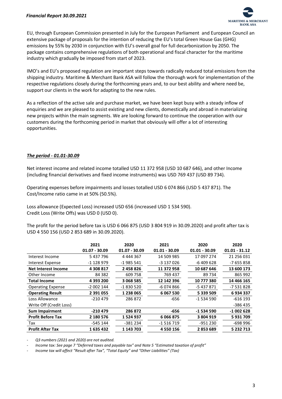

EU, through European Commission presented in July for the European Parliament and European Council an extensive package of proposals for the intention of reducing the EU's total Green House Gas (GHG) emissions by 55% by 2030 in conjunction with EU's overall goal for full decarbonization by 2050. The package contains comprehensive regulations of both operational and fiscal character for the maritime industry which gradually be imposed from start of 2023.

IMO's and EU's proposed regulation are important steps towards radically reduced total emissions from the shipping industry. Maritime & Merchant Bank ASA will follow the thorough work for implementation of the respective regulations closely during the forthcoming years and, to our best ability and where need be, support our clients in the work for adapting to the new rules.

As a reflection of the active sale and purchase market, we have been kept busy with a steady inflow of enquiries and we are pleased to assist existing and new clients, domestically and abroad in materializing new projects within the main segments. We are looking forward to continue the cooperation with our customers during the forthcoming period in market that obviously will offer a lot of interesting opportunities.

# *The period - 01.01-30.09*

Net interest income and related income totalled USD 11 372 958 (USD 10 687 646), and other Income (including financial derivatives and fixed income instruments) was USD 769 437 (USD 89 734).

Operating expenses before impairments and losses totalled USD 6 074 866 (USD 5 437 871). The Cost/Income ratio came in at 50% (50.5%).

Loss allowance (Expected Loss) increased USD 656 (increased USD 1 534 590). Credit Loss (Write Offs) was USD 0 (USD 0).

The profit for the period before tax is USD 6 066 875 (USD 3 804 919 in 30.09.2020) and profit after tax is USD 4 550 156 (USD 2 853 689 in 30.09.2020).

|                          | 2021<br>$01.07 - 30.09$ | 2020<br>$01.07 - 30.09$ | 2021<br>$01.01 - 30.09$ | 2020<br>$01.01 - 30.09$ | 2020<br>$01.01 - 31.12$ |
|--------------------------|-------------------------|-------------------------|-------------------------|-------------------------|-------------------------|
| Interest Income          | 5 437 796               | 4 444 367               | 14 509 985              | 17 097 274              | 21 256 031              |
| Interest Expense         | -1 128 979              | $-1985541$              | -3 137 026              | -6409628                | $-7655858$              |
| Net Interest Income      | 4 308 817               | 2 458 826               | 11 372 958              | 10 687 646              | 13 600 173              |
| Other Income             | 84 3 82                 | 609 758                 | 769 437                 | 89734                   | 865 992                 |
| <b>Total Income</b>      | 4 393 200               | 3 068 585               | 12 142 396              | 10 777 380              | 14 466 165              |
| <b>Operating Expense</b> | -2 002 144              | -1830520                | $-6074866$              | -5 437 871              | -7 531 828              |
| <b>Operating Result</b>  | 2 391 055               | 1 238 065               | 6 0 67 5 30             | 5 339 509               | 6934337                 |
| Loss Allowance           | $-210479$               | 286872                  | $-656$                  | -1 534 590              | -616 193                |
| Write Off (Credit Loss)  |                         |                         |                         |                         | $-386435$               |
| <b>Sum Impairment</b>    | -210 479                | 286 872                 | $-656$                  | -1 534 590              | $-1002628$              |
| <b>Profit Before Tax</b> | 2 180 576               | 1 524 937               | 6066875                 | 3 804 919               | 5931709                 |
| Tax                      | $-545144$               | -381 234                | $-1516719$              | $-951230$               | $-698996$               |
| <b>Profit After Tax</b>  | 1635432                 | 1 143 703               | 4 5 5 0 1 5 6           | 2853689                 | 5 232 713               |

- *Q3 numbers (2021 and 2020) are not audited.*

- *Income tax: See page 7 "Deferred taxes and payable tax" and Note 5 "Estimated taxation of profit"*

- *Income tax will affect "Result after Tax", "Total Equity" and "Other Liabilities" (Tax)*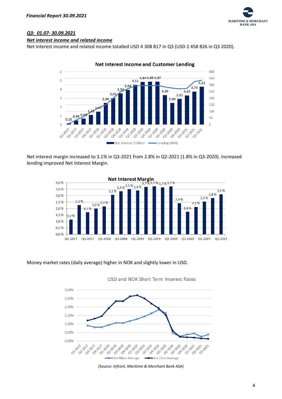

# *Q3: 01.07- 30.09.2021*

### *Net interest income and related income*

Net interest income and related income totalled USD 4 308 817 in Q3 (USD 2 458 826 in Q3 2020).



Net interest margin increased to 3.1% in Q3-2021 from 2.8% in Q2-2021 (1.8% in Q3-2020). Increased lending improved Net Interest Margin.



#### Money market rates (daily average) higher in NOK and slightly lower in USD.



USD and NOK Short Term Interest Rates

*(Source: Infront, Maritime & Merchant Bank ASA)*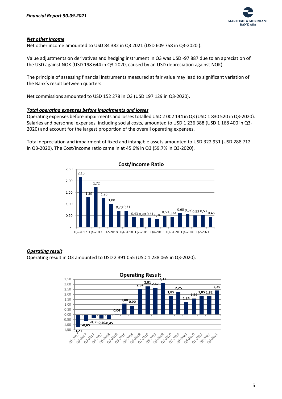

## *Net other Income*

Net other income amounted to USD 84 382 in Q3 2021 (USD 609 758 in Q3-2020 ).

Value adjustments on derivatives and hedging instrument in Q3 was USD -97 887 due to an apreciation of the USD against NOK (USD 198 644 in Q3-2020, caused by an USD depreciation against NOK).

The principle of assessing financial instruments measured at fair value may lead to significant variation of the Bank's result between quarters.

Net commissions amounted to USD 152 278 in Q3 (USD 197 129 in Q3-2020).

#### *Total operating expenses before impairments and losses*

Operating expenses before impairments and losses totalled USD 2 002 144 in Q3 (USD 1 830 520 in Q3-2020). Salaries and personnel expenses, including social costs, amounted to USD 1 236 388 (USD 1 168 400 in Q3- 2020) and account for the largest proportion of the overall operating expenses.

Total depreciation and impairment of fixed and intangible assets amounted to USD 322 931 (USD 288 712 in Q3-2020). The Cost/Income ratio came in at 45.6% in Q3 (59.7% in Q3-2020).



#### *Operating result*

Operating result in Q3 amounted to USD 2 391 055 (USD 1 238 065 in Q3-2020).

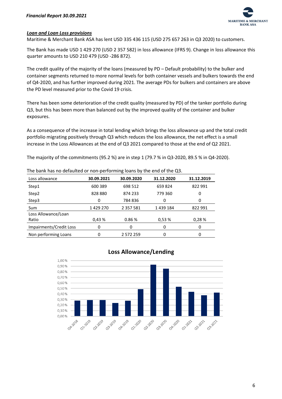

# *Loan and Loan Loss provisions*

Maritime & Merchant Bank ASA has lent USD 335 436 115 (USD 275 657 263 in Q3 2020) to customers.

The Bank has made USD 1 429 270 (USD 2 357 582) in loss allowance (IFRS 9). Change in loss allowance this quarter amounts to USD 210 479 (USD -286 872).

The credit quality of the majority of the loans (measured by PD – Default probability) to the bulker and container segments returned to more normal levels for both container vessels and bulkers towards the end of Q4-2020, and has further improved during 2021. The average PDs for bulkers and containers are above the PD level measured prior to the Covid 19 crisis.

There has been some deterioration of the credit quality (measured by PD) of the tanker portfolio during Q3, but this has been more than balanced out by the improved quality of the container and bulker exposures.

As a consequence of the increase in total lending which brings the loss allowance up and the total credit portfolio migrating positively through Q3 which reduces the loss allowance, the net effect is a small increase in the Loss Allowances at the end of Q3 2021 compared to those at the end of Q2 2021.

The majority of the commitments (95.2 %) are in step 1 (79.7 % in Q3-2020, 89.5 % in Q4-2020).

| The bank has no defaulted or non-performing loans by the end of the Q3. |            |               |            |            |  |  |  |
|-------------------------------------------------------------------------|------------|---------------|------------|------------|--|--|--|
| Loss allowance                                                          | 30.09.2021 | 30.09.2020    | 31.12.2020 | 31.12.2019 |  |  |  |
| Step1                                                                   | 600 389    | 698 512       | 659824     | 822 991    |  |  |  |
| Step2                                                                   | 828880     | 874 233       | 779 360    | 0          |  |  |  |
| Step3                                                                   | 0          | 784836        | 0          | 0          |  |  |  |
| Sum                                                                     | 1 429 270  | 2 3 5 7 5 8 1 | 1439184    | 822 991    |  |  |  |
| Loss Allowance/Loan                                                     |            |               |            |            |  |  |  |
| Ratio                                                                   | 0.43%      | 0.86%         | 0.53%      | 0.28%      |  |  |  |
| Impairments/Credit Loss                                                 | 0          | 0             | 0          | 0          |  |  |  |
| Non performing Loans                                                    | 0          | 2 572 259     | 0          | 0          |  |  |  |

# **Loss Allowance/Lending**

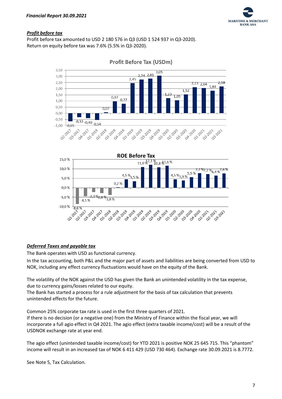

# *Profit before tax*

Profit before tax amounted to USD 2 180 576 in Q3 (USD 1 524 937 in Q3-2020). Return on equity before tax was 7.6% (5.5% in Q3-2020).



**Profit Before Tax (USDm)** 



# *Deferred Taxes and payable tax*

The Bank operates with USD as functional currency.

In the tax accounting, both P&L and the major part of assets and liabilities are being converted from USD to NOK, including any effect currency fluctuations would have on the equity of the Bank.

The volatility of the NOK against the USD has given the Bank an unintended volatility in the tax expense, due to currency gains/losses related to our equity.

The Bank has started a process for a rule adjustment for the basis of tax calculation that prevents unintended effects for the future.

Common 25% corporate tax rate is used in the first three quarters of 2021.

If there is no decision (or a negative one) from the Ministry of Finance within the fiscal year, we will incorporate a full agio effect in Q4 2021. The agio effect (extra taxable income/cost) will be a result of the USDNOK exchange rate at year end.

The agio effect (unintended taxable income/cost) for YTD 2021 is positive NOK 25 645 715. This "phantom" income will result in an increased tax of NOK 6 411 429 (USD 730 464). Exchange rate 30.09.2021 is 8.7772.

See Note 5, Tax Calculation.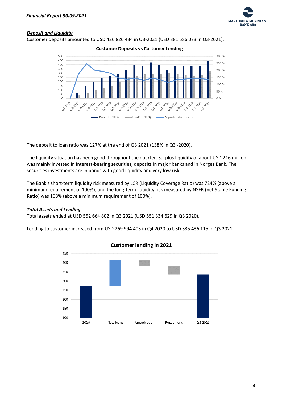

# *Deposit and Liquidity*

Customer deposits amounted to USD 426 826 434 in Q3-2021 (USD 381 586 073 in Q3-2021).

**Customer Deposits vs Customer Lending** 



The deposit to loan ratio was 127% at the end of Q3 2021 (138% in Q3 -2020).

The liquidity situation has been good throughout the quarter. Surplus liquidity of about USD 216 million was mainly invested in interest-bearing securities, deposits in major banks and in Norges Bank. The securities investments are in bonds with good liquidity and very low risk.

The Bank's short-term liquidity risk measured by LCR (Liquidity Coverage Ratio) was 724% (above a minimum requirement of 100%), and the long-term liquidity risk measured by NSFR (net Stable Funding Ratio) was 168% (above a minimum requirement of 100%).

# *Total Assets and Lending*

Total assets ended at USD 552 664 802 in Q3 2021 (USD 551 334 629 in Q3 2020).

Lending to customer increased from USD 269 994 403 in Q4 2020 to USD 335 436 115 in Q3 2021.



# **Customer lending in 2021**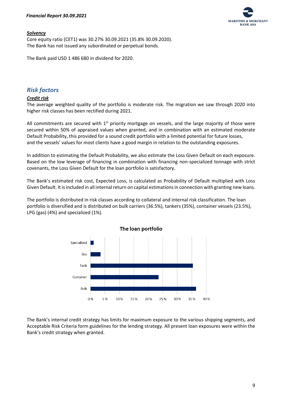

### *Solvency*

Core equity ratio (CET1) was 30.27% 30.09.2021 (35.8% 30.09.2020). The Bank has not issued any subordinated or perpetual bonds.

The Bank paid USD 1 486 680 in dividend for 2020.

# *Risk factors*

# *Credit risk*

The average weighted quality of the portfolio is moderate risk. The migration we saw through 2020 into higher risk classes has been rectified during 2021.

All commitments are secured with  $1<sup>st</sup>$  priority mortgage on vessels, and the large majority of those were secured within 50% of appraised values when granted, and in combination with an estimated moderate Default Probability, this provided for a sound credit portfolio with a limited potential for future losses, and the vessels' values for most clients have a good margin in relation to the outstanding exposures.

In addition to estimating the Default Probability, we also estimate the Loss Given Default on each exposure. Based on the low leverage of financing in combination with financing non-specialized tonnage with strict covenants, the Loss Given Default for the loan portfolio is satisfactory.

The Bank's estimated risk cost, Expected Loss, is calculated as Probability of Default multiplied with Loss Given Default. It is included in all internal return on capital estimations in connection with granting new loans.

The portfolio is distributed in risk classes according to collateral and internal risk classification. The loan portfolio is diversified and is distributed on bulk carriers (36.5%), tankers (35%), container vessels (23.5%), LPG (gas) (4%) and specialized (1%).



The Bank's internal credit strategy has limits for maximum exposure to the various shipping segments, and Acceptable Risk Criteria form guidelines for the lending strategy. All present loan exposures were within the Bank's credit strategy when granted.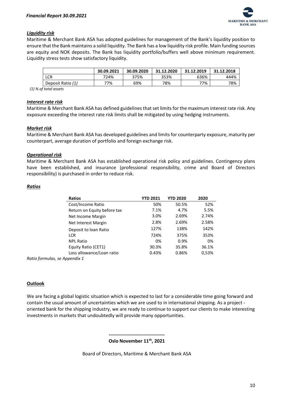

# *Liquidity risk*

Maritime & Merchant Bank ASA has adopted guidelines for management of the Bank's liquidity position to ensure that the Bank maintains a solid liquidity. The Bank has a low liquidity risk profile. Main funding sources are equity and NOK deposits. The Bank has liquidity portfolio/buffers well above minimum requirement. Liquidity stress tests show satisfactory liquidity.

|                   | 30.09.2021 | 30.09.2020 | 31.12.2020 | 31.12.2019 | 31.12.2018 |
|-------------------|------------|------------|------------|------------|------------|
| LCR               | 724%       | 375%       | 353%       | 636%       | 444%       |
| Deposit Ratio (1) | 77%        | 69%        | 78%        | 77%        | 78%        |
|                   |            |            |            |            |            |

 *(1) % of total assets*

#### *Interest rate risk*

Maritime & Merchant Bank ASA has defined guidelines that set limits for the maximum interest rate risk. Any exposure exceeding the interest rate risk limits shall be mitigated by using hedging instruments.

## *Market risk*

Maritime & Merchant Bank ASA has developed guidelines and limits for counterparty exposure, maturity per counterpart, average duration of portfolio and foreign exchange risk.

## *Operational risk*

Maritime & Merchant Bank ASA has established operational risk policy and guidelines. Contingency plans have been established, and insurance (professional responsibility, crime and Board of Directors responsibility) is purchased in order to reduce risk.

## *Ratios*

| <b>Ratios</b>                 | <b>YTD 2021</b> | <b>YTD 2020</b> | 2020  |
|-------------------------------|-----------------|-----------------|-------|
| Cost/Income Ratio             | 50%             | 50.5%           | 52%   |
| Return on Equity before tax   | 7.1%            | 4.7%            | 5.5%  |
| Net Income Margin             | 3.0%            | 2.69%           | 2.74% |
| Net Interest Margin           | 2.8%            | 2.69%           | 2.58% |
| Deposit to loan Ratio         | 127%            | 138%            | 142%  |
| <b>LCR</b>                    | 724%            | 375%            | 353%  |
| <b>NPL Ratio</b>              | 0%              | 0.9%            | 0%    |
| Equity Ratio (CET1)           | 30.3%           | 35.8%           | 36.1% |
| Loss allowance/Loan ratio     | 0.43%           | 0.86%           | 0,53% |
| Ratio formulas, se Appendix 1 |                 |                 |       |

#### **Outlook**

We are facing a global logistic situation which is expected to last for a considerable time going forward and contain the usual amount of uncertainties which we are used to in international shipping. As a project oriented bank for the shipping industry, we are ready to continue to support our clients to make interesting investments in markets that undoubtedly will provide many opportunities.

#### **----------------------------------- Oslo November 11th , 2021**

Board of Directors, Maritime & Merchant Bank ASA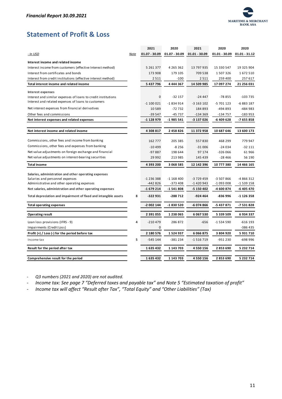

# <span id="page-11-0"></span>**Statement of Profit & Loss**

| $01.07 - 30.09$<br>$01.07 - 30.09$<br>$01.01 - 30.09$<br>$01.01 - 30.09$<br>$01.01 - 31.12$<br>- In USD<br>Note<br>Interest income and related income<br>Interest income from customers (effective Interest method)<br>4 2 6 5 3 6 2<br>19 325 904<br>5 261 377<br>13 797 935<br>15 330 547<br>179 105<br>709 538<br>Interest from certificates and bonds<br>173 908<br>1507326<br>1672510<br>Interest from credit institutions (effective interest method)<br>2 5 1 1<br>$-100$<br>2511<br>259 400<br>257 617<br>14 509 985<br>5 437 796<br>4 4 4 4 3 6 7<br>17 097 274<br>21 256 031<br>Total interest income and related income<br><b>Interest expenses</b><br>0<br>$-32157$<br>$-78855$<br>$-103735$<br>Interest and similar expenses of loans to credit institutions<br>$-24447$<br>Interest and related expenses of loans to customers<br>$-1100021$<br>$-1834914$<br>$-3$ 163 102<br>$-5701123$<br>$-6883187$<br>Net interest expenses from financial derivatives<br>-494 893<br>10589<br>$-72732$<br>184 893<br>-484 983 |
|----------------------------------------------------------------------------------------------------------------------------------------------------------------------------------------------------------------------------------------------------------------------------------------------------------------------------------------------------------------------------------------------------------------------------------------------------------------------------------------------------------------------------------------------------------------------------------------------------------------------------------------------------------------------------------------------------------------------------------------------------------------------------------------------------------------------------------------------------------------------------------------------------------------------------------------------------------------------------------------------------------------------------------|
|                                                                                                                                                                                                                                                                                                                                                                                                                                                                                                                                                                                                                                                                                                                                                                                                                                                                                                                                                                                                                                  |
|                                                                                                                                                                                                                                                                                                                                                                                                                                                                                                                                                                                                                                                                                                                                                                                                                                                                                                                                                                                                                                  |
|                                                                                                                                                                                                                                                                                                                                                                                                                                                                                                                                                                                                                                                                                                                                                                                                                                                                                                                                                                                                                                  |
|                                                                                                                                                                                                                                                                                                                                                                                                                                                                                                                                                                                                                                                                                                                                                                                                                                                                                                                                                                                                                                  |
|                                                                                                                                                                                                                                                                                                                                                                                                                                                                                                                                                                                                                                                                                                                                                                                                                                                                                                                                                                                                                                  |
|                                                                                                                                                                                                                                                                                                                                                                                                                                                                                                                                                                                                                                                                                                                                                                                                                                                                                                                                                                                                                                  |
|                                                                                                                                                                                                                                                                                                                                                                                                                                                                                                                                                                                                                                                                                                                                                                                                                                                                                                                                                                                                                                  |
|                                                                                                                                                                                                                                                                                                                                                                                                                                                                                                                                                                                                                                                                                                                                                                                                                                                                                                                                                                                                                                  |
|                                                                                                                                                                                                                                                                                                                                                                                                                                                                                                                                                                                                                                                                                                                                                                                                                                                                                                                                                                                                                                  |
|                                                                                                                                                                                                                                                                                                                                                                                                                                                                                                                                                                                                                                                                                                                                                                                                                                                                                                                                                                                                                                  |
| Other fees and commissions<br>-39 547<br>-45 737<br>$-134369$<br>-134 757<br>$-183953$                                                                                                                                                                                                                                                                                                                                                                                                                                                                                                                                                                                                                                                                                                                                                                                                                                                                                                                                           |
| -6 409 628<br>-1 128 979<br>-1985 541<br>-3 137 026<br>-7 655 858<br>Net interest expenses and related expenses                                                                                                                                                                                                                                                                                                                                                                                                                                                                                                                                                                                                                                                                                                                                                                                                                                                                                                                  |
|                                                                                                                                                                                                                                                                                                                                                                                                                                                                                                                                                                                                                                                                                                                                                                                                                                                                                                                                                                                                                                  |
| 4 308 817<br>2 458 826<br>11 372 958<br>10 687 646<br>13 600 173<br>Net interest income and related income                                                                                                                                                                                                                                                                                                                                                                                                                                                                                                                                                                                                                                                                                                                                                                                                                                                                                                                       |
|                                                                                                                                                                                                                                                                                                                                                                                                                                                                                                                                                                                                                                                                                                                                                                                                                                                                                                                                                                                                                                  |
| Commissions, other fees and income from banking<br>205 385<br>557830<br>468 299<br>779 947<br>162 777                                                                                                                                                                                                                                                                                                                                                                                                                                                                                                                                                                                                                                                                                                                                                                                                                                                                                                                            |
| Commissions, other fees and expenses from banking<br>$-8256$<br>$-31006$<br>$-24034$<br>$-32111$<br>$-10499$                                                                                                                                                                                                                                                                                                                                                                                                                                                                                                                                                                                                                                                                                                                                                                                                                                                                                                                     |
| Net value adjustments on foreign exchange and financial<br>$-97887$<br>198 644<br>97 174<br>$-326066$<br>61966                                                                                                                                                                                                                                                                                                                                                                                                                                                                                                                                                                                                                                                                                                                                                                                                                                                                                                                   |
| Net value adjustments on interest-bearing securities<br>29 9 92<br>213 985<br>145 439<br>$-28466$<br>56 190                                                                                                                                                                                                                                                                                                                                                                                                                                                                                                                                                                                                                                                                                                                                                                                                                                                                                                                      |
| 4 393 200<br>3 068 585<br>10777380<br>14 466 165<br><b>Total income</b><br>12 142 396                                                                                                                                                                                                                                                                                                                                                                                                                                                                                                                                                                                                                                                                                                                                                                                                                                                                                                                                            |
|                                                                                                                                                                                                                                                                                                                                                                                                                                                                                                                                                                                                                                                                                                                                                                                                                                                                                                                                                                                                                                  |
| Salaries, administration and other operating expenses<br>-1 236 388<br>-3 729 459<br>-3 507 866<br>-4 866 312<br>Salaries and personnel expenses<br>$-1168400$                                                                                                                                                                                                                                                                                                                                                                                                                                                                                                                                                                                                                                                                                                                                                                                                                                                                   |
| Administrative and other operating expenses<br>-442 826<br>$-373408$<br>-1 420 943<br>-1 093 008<br>-1 539 158                                                                                                                                                                                                                                                                                                                                                                                                                                                                                                                                                                                                                                                                                                                                                                                                                                                                                                                   |
| $-1679214$<br>Net salaries, administration and other operating expenses<br>$-1541808$<br>-5 150 402<br>-4 600 874<br>-6 405 470                                                                                                                                                                                                                                                                                                                                                                                                                                                                                                                                                                                                                                                                                                                                                                                                                                                                                                  |
| 8<br>-288 712<br>Total depreciation and impairment of fixed and intangible assets<br>-322 931<br>-924 464<br>-836 996<br>$-1$ 126 358                                                                                                                                                                                                                                                                                                                                                                                                                                                                                                                                                                                                                                                                                                                                                                                                                                                                                            |
| -2 002 144<br>-1830 520<br>-6 074 866<br>-5 437 871<br>-7 531 828<br><b>Total operating expenses</b>                                                                                                                                                                                                                                                                                                                                                                                                                                                                                                                                                                                                                                                                                                                                                                                                                                                                                                                             |
|                                                                                                                                                                                                                                                                                                                                                                                                                                                                                                                                                                                                                                                                                                                                                                                                                                                                                                                                                                                                                                  |
| 2 391 055<br>1 2 3 8 0 6 5<br>6067530<br>5 339 509<br>6934337<br><b>Operating result</b>                                                                                                                                                                                                                                                                                                                                                                                                                                                                                                                                                                                                                                                                                                                                                                                                                                                                                                                                         |
| Loan loss provisions (IFRS - 9)<br>4<br>$-210479$<br>286872<br>$-656$<br>-1 534 590<br>$-616$ 193                                                                                                                                                                                                                                                                                                                                                                                                                                                                                                                                                                                                                                                                                                                                                                                                                                                                                                                                |
| Impairments (Credit Loss)<br>0<br>-386 435                                                                                                                                                                                                                                                                                                                                                                                                                                                                                                                                                                                                                                                                                                                                                                                                                                                                                                                                                                                       |
| 1524937<br>Profit $(+)$ / Loss $(-)$ for the period before tax<br>2 180 576<br>6066875<br>3 804 920<br>5931710                                                                                                                                                                                                                                                                                                                                                                                                                                                                                                                                                                                                                                                                                                                                                                                                                                                                                                                   |
| 5<br>$-698996$<br>$-545144$<br>$-381234$<br>-1 516 719<br>-951 230<br>Income tax                                                                                                                                                                                                                                                                                                                                                                                                                                                                                                                                                                                                                                                                                                                                                                                                                                                                                                                                                 |
| Result for the period after tax<br>1635432<br>1 143 703<br>4 5 5 0 1 5 6<br>2853690<br>5 2 3 2 7 1 4                                                                                                                                                                                                                                                                                                                                                                                                                                                                                                                                                                                                                                                                                                                                                                                                                                                                                                                             |
| 1143703<br>2853690<br>5 232 714<br>Comprehensive result for the period<br>1635432<br>4550156                                                                                                                                                                                                                                                                                                                                                                                                                                                                                                                                                                                                                                                                                                                                                                                                                                                                                                                                     |

- *Q3 numbers (2021 and 2020) are not audited.*

- *Income tax: See page 7 "Deferred taxes and payable tax" and Note 5 "Estimated taxation of profit"*

- *Income tax will affect "Result after Tax", "Total Equity" and "Other Liabilities" (Tax)*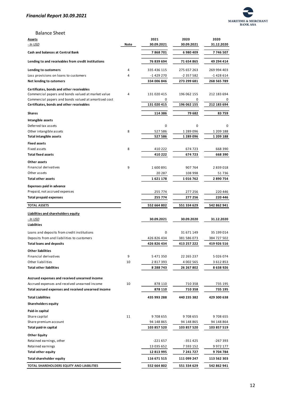

## Balance Sheet

| <b>Assets</b>                                        |      | 2021        | 2020        | 2020          |
|------------------------------------------------------|------|-------------|-------------|---------------|
| - In USD                                             | Note | 30.09.2021  | 30.09.2021  | 31.12.2020    |
| Cash and balances at Central Bank                    |      | 7868701     | 6980409     | 7 746 507     |
| Lending to and receivables from credit institutions  |      | 76 839 694  | 71 654 865  | 49 294 414    |
| Lending to customers                                 | 4    | 335 436 115 | 275 657 263 | 269 994 403   |
| Loss provisions on loans to customers                | 4    | -1 429 270  | -2 357 582  | -1 428 614    |
| Net lending to cutomers                              |      | 334 006 846 | 273 299 681 | 268 565 789   |
|                                                      |      |             |             |               |
| Certificates, bonds and other receivables            |      |             |             |               |
| Commercial papers and bonds valued at market value   | 4    | 131 020 415 | 196 062 155 | 212 183 694   |
| Commercial papers and bonds valued at amortised cost |      | 0           | 0           |               |
| Certificates, bonds and other receivables            |      | 131 020 415 | 196 062 155 | 212 183 694   |
| Shares                                               |      | 114 386     | 79 682      | 83 759        |
| Intangible assets                                    |      |             |             |               |
| Deferred tax assets                                  |      | 0           | 0           | 0             |
| Other intangible assets                              | 8    | 527586      | 1 289 096   | 1 209 188     |
| <b>Total intangible assets</b>                       |      | 527 586     | 1 289 096   | 1 209 188     |
| <b>Fixed assets</b>                                  |      |             |             |               |
| Fixed assets                                         | 8    |             |             | 668 390       |
|                                                      |      | 410 222     | 674 723     |               |
| <b>Total fixed assets</b>                            |      | 410 222     | 674 723     | 668 390       |
| Other assets                                         |      |             |             |               |
| Financial derivatives                                | 9    | 1600891     | 907 764     | 2839018       |
| Other assets                                         |      | 20 287      | 108 998     | 51 736        |
| <b>Total other assets</b>                            |      | 1621178     | 1016762     | 2890754       |
| <b>Expenses paid in advance</b>                      |      |             |             |               |
| Prepaid, not accrued expenses                        |      | 255 774     | 277 256     | 220 446       |
| <b>Total prepaid expenses</b>                        |      | 255 774     | 277 256     | 220 446       |
| <b>TOTAL ASSETS</b>                                  |      | 552 664 802 | 551 334 629 | 542 862 941   |
| Liabilities and shareholders equity                  |      |             |             |               |
| <u>- In USD</u>                                      |      | 30.09.2021  | 30.09.2020  | 31.12.2020    |
| Liabilities                                          |      |             |             |               |
| Loans and deposits from credit institutions          |      | 0           | 31 671 149  | 35 199 014    |
|                                                      |      |             |             |               |
| Deposits from and liabilities to customers           |      | 426 826 434 | 381 586 073 | 384 727 502   |
| <b>Total loans and deposits</b>                      |      | 426 826 434 | 413 257 222 | 419 926 516   |
| <b>Other liabilities</b>                             |      |             |             |               |
| Financial derivatives                                | 9    | 5 471 350   | 22 265 237  | 5 0 2 6 0 7 4 |
| Other liabilities                                    | 10   | 2817393     | 4 002 565   | 3 612 853     |
| <b>Total other liabilities</b>                       |      | 8 288 743   | 26 267 802  | 8 638 926     |
|                                                      |      |             |             |               |
| Accrued expenses and received unearned income        |      |             |             |               |
| Accrued expenses and received unearned income        | 10   | 878 110     | 710 358     | 735 195       |
| Total accrued expenses and received unearned income  |      | 878 110     | 710 358     | 735 195       |
| <b>Total Liabilities</b>                             |      | 435 993 288 | 440 235 382 | 429 300 638   |
| <b>Shareholders equity</b>                           |      |             |             |               |
| Paid-in capital                                      |      |             |             |               |
| Share capital                                        | 11   | 9 708 655   | 9708655     | 9708655       |
| Share premium account                                |      | 94 148 865  | 94 148 865  | 94 148 864    |
| Total paid-in capital                                |      | 103 857 520 | 103 857 520 | 103 857 519   |
| <b>Other Equity</b>                                  |      |             |             |               |
| Retained earnings, other                             |      | $-221657$   | -351 425    | -267 393      |
| Retained earnings                                    |      | 13 035 652  | 7 593 152   | 9 972 177     |
| <b>Total other equity</b>                            |      | 12 813 995  | 7 241 727   | 9 704 784     |
| <b>Total shareholder equity</b>                      |      | 116 671 515 |             | 113 562 303   |
|                                                      |      |             | 111 099 247 |               |
| TOTAL SHAREHOLDERS EQUITY AND LIABILITIES            |      | 552 664 802 | 551 334 629 | 542 862 941   |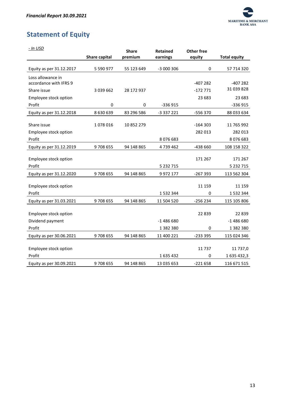

# <span id="page-13-0"></span>**Statement of Equity**

| - In USD                 |               | <b>Share</b> | <b>Retained</b> | Other free |                     |
|--------------------------|---------------|--------------|-----------------|------------|---------------------|
|                          | Share capital | premium      | earnings        | equity     | <b>Total equity</b> |
| Equity as per 31.12.2017 | 5 590 977     | 55 123 649   | -3 000 306      | 0          | 57 714 320          |
| Loss allowance in        |               |              |                 |            |                     |
| accordance with IFRS 9   |               |              |                 | $-407282$  | $-407282$           |
| Share issue              | 3 0 3 9 6 6 2 | 28 172 937   |                 | $-172771$  | 31 039 828          |
| Employee stock option    |               |              |                 | 23 683     | 23 683              |
| Profit                   | 0             | 0            | $-336915$       |            | -336 915            |
| Equity as per 31.12.2018 | 8 630 639     | 83 296 586   | -3 337 221      | -556 370   | 88 033 634          |
|                          |               |              |                 |            |                     |
| Share issue              | 1078016       | 10 852 279   |                 | $-164303$  | 11 765 992          |
| Employee stock option    |               |              |                 | 282 013    | 282 013             |
| Profit                   |               |              | 8076683         |            | 8076683             |
| Equity as per 31.12.2019 | 9708655       | 94 148 865   | 4739462         | -438 660   | 108 158 322         |
| Employee stock option    |               |              |                 | 171 267    | 171 267             |
| Profit                   |               |              | 5 2 3 2 7 1 5   |            | 5 2 3 2 7 1 5       |
| Equity as per 31.12.2020 | 9708655       | 94 148 865   | 9 9 7 2 1 7 7   | -267 393   | 113 562 304         |
| Employee stock option    |               |              |                 | 11 159     | 11 159              |
| Profit                   |               |              | 1532344         | 0          | 1 532 344           |
| Equity as per 31.03.2021 | 9708655       | 94 148 865   | 11 504 520      | $-256234$  | 115 105 806         |
| Employee stock option    |               |              |                 | 22839      | 22839               |
| Dividend payment         |               |              | $-1486680$      |            | $-1486680$          |
| Profit                   |               |              | 1 382 380       | 0          | 1382380             |
|                          |               |              |                 |            |                     |
| Equity as per 30.06.2021 | 9708655       | 94 148 865   | 11 400 221      | -233 395   | 115 024 346         |
| Employee stock option    |               |              |                 | 11 737     | 11 737,0            |
| Profit                   |               |              | 1635432         | 0          | 1 635 432,3         |
| Equity as per 30.09.2021 | 9708655       | 94 148 865   | 13 035 653      | $-221658$  | 116 671 515         |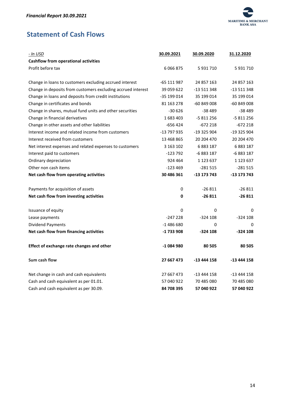

# <span id="page-14-0"></span>**Statement of Cash Flows**

| - In USD                                                     | 30.09.2021  | 30.09.2020  | 31.12.2020  |
|--------------------------------------------------------------|-------------|-------------|-------------|
| <b>Cashflow from operational activities</b>                  |             |             |             |
| Profit before tax                                            | 6 0 6 8 7 5 | 5 931 710   | 5 931 710   |
|                                                              |             |             |             |
| Change in loans to customers excluding accrued interest      | -65 111 987 | 24 857 163  | 24 857 163  |
| Change in deposits from customers excluding accrued interest | 39 059 622  | -13 511 348 | -13 511 348 |
| Change in loans and deposits from credit institutions        | -35 199 014 | 35 199 014  | 35 199 014  |
| Change in certificates and bonds                             | 81 163 278  | $-60849008$ | -60 849 008 |
| Change in shares, mutual fund units and other securities     | $-30626$    | $-38489$    | $-38489$    |
| Change in financial derivatives                              | 1683403     | -5 811 256  | -5 811 256  |
| Change in other assets and other liabilities                 | $-656424$   | $-672218$   | $-672218$   |
| Interest income and related income from customers            | -13 797 935 | -19 325 904 | -19 325 904 |
| Interest received from customers                             | 13 468 865  | 20 204 470  | 20 204 470  |
| Net interest expenses and related expenses to customers      | 3 163 102   | 6883187     | 6 883 187   |
| Interest paid to customers                                   | -123 792    | -6 883 187  | -6 883 187  |
| Ordinary depreciation                                        | 924 464     | 1 123 637   | 1 123 637   |
| Other non cash items                                         | $-123469$   | $-281515$   | $-281515$   |
| Net cash flow from operating activities                      | 30 486 361  | -13 173 743 | -13 173 743 |
| Payments for acquisition of assets                           | 0           | $-26811$    | $-26811$    |
| Net cash flow from investing activities                      | 0           | $-26811$    | $-26811$    |
| Issuance of equity                                           | 0           | 0           | 0           |
| Lease payments                                               | $-247228$   | $-324108$   | $-324108$   |
| <b>Dividend Payments</b>                                     | $-1486680$  | 0           | 0           |
| Net cash flow from financing activities                      | -1 733 908  | $-324108$   | -324 108    |
| Effect of exchange rate changes and other                    | -1 084 980  | 80 505      | 80 505      |
| Sum cash flow                                                | 27 667 473  | -13 444 158 | -13 444 158 |
| Net change in cash and cash equivalents                      | 27 667 473  | -13 444 158 | -13 444 158 |
| Cash and cash equivalent as per 01.01.                       | 57 040 922  | 70 485 080  | 70 485 080  |
| Cash and cash equivalent as per 30.09.                       | 84 708 395  | 57 040 922  | 57 040 922  |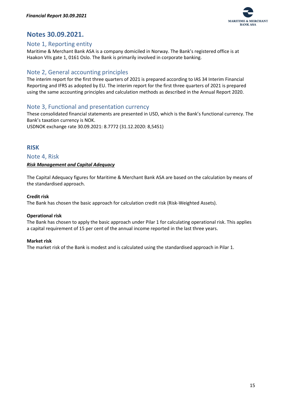

# <span id="page-15-0"></span>**Notes 30.09.2021.**

# <span id="page-15-1"></span>Note 1, Reporting entity

Maritime & Merchant Bank ASA is a company domiciled in Norway. The Bank's registered office is at Haakon VIIs gate 1, 0161 Oslo. The Bank is primarily involved in corporate banking.

# <span id="page-15-2"></span>Note 2, General accounting principles

The interim report for the first three quarters of 2021 is prepared according to IAS 34 Interim Financial Reporting and IFRS as adopted by EU. The interim report for the first three quarters of 2021 is prepared using the same accounting principles and calculation methods as described in the Annual Report 2020.

# <span id="page-15-3"></span>Note 3, Functional and presentation currency

These consolidated financial statements are presented in USD, which is the Bank's functional currency. The Bank's taxation currency is NOK.

USDNOK exchange rate 30.09.2021: 8.7772 (31.12.2020: 8,5451)

# <span id="page-15-4"></span>**RISK**

<span id="page-15-5"></span>Note 4, Risk

# <span id="page-15-6"></span>*Risk Management and Capital Adequacy*

The Capital Adequacy figures for Maritime & Merchant Bank ASA are based on the calculation by means of the standardised approach.

# **Credit risk**

The Bank has chosen the basic approach for calculation credit risk (Risk-Weighted Assets).

# **Operational risk**

The Bank has chosen to apply the basic approach under Pilar 1 for calculating operational risk. This applies a capital requirement of 15 per cent of the annual income reported in the last three years.

# **Market risk**

The market risk of the Bank is modest and is calculated using the standardised approach in Pilar 1.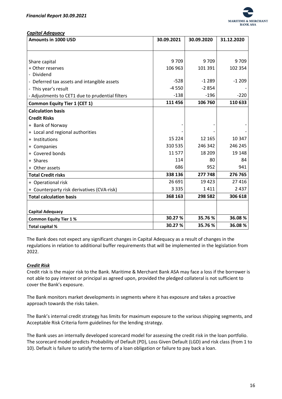

<span id="page-16-0"></span>*Capital Adequacy*

| <b>Amounts in 1000 USD</b>                      | 30.09.2021 | 30.09.2020 | 31.12.2020 |
|-------------------------------------------------|------------|------------|------------|
|                                                 |            |            |            |
|                                                 |            |            |            |
| Share capital                                   | 9709       | 9709       | 9709       |
| + Other reserves                                | 106 963    | 101 391    | 102 354    |
| - Dividend                                      |            |            |            |
| - Deferred tax assets and intangible assets     | $-528$     | $-1289$    | $-1209$    |
| - This year's result                            | $-4550$    | $-2854$    |            |
| - Adjustments to CET1 due to prudential filters | $-138$     | $-196$     | $-220$     |
| <b>Common Equity Tier 1 (CET 1)</b>             | 111 456    | 106 760    | 110 633    |
| <b>Calculation basis</b>                        |            |            |            |
| <b>Credit Risks</b>                             |            |            |            |
| + Bank of Norway                                |            |            |            |
| + Local and regional authorities                |            |            |            |
| + Institutions                                  | 15 2 24    | 12 165     | 10 347     |
| + Companies                                     | 310 535    | 246 342    | 246 245    |
| + Covered bonds                                 | 11577      | 18 209     | 19 148     |
| + Shares                                        | 114        | 80         | 84         |
| + Other assets                                  | 686        | 952        | 941        |
| <b>Total Credit risks</b>                       | 338 136    | 277 748    | 276 765    |
| + Operational risk                              | 26 691     | 19423      | 27 4 16    |
| + Counterparty risk derivatives (CVA-risk)      | 3 3 3 5    | 1411       | 2437       |
| <b>Total calculation basis</b>                  | 368 163    | 298 582    | 306 618    |
|                                                 |            |            |            |
| <b>Capital Adequacy</b>                         |            |            |            |
| <b>Common Equity Tier 1%</b>                    | 30.27 %    | 35.76 %    | 36.08%     |
| Total capital %                                 | 30.27 %    | 35.76 %    | 36.08%     |

The Bank does not expect any significant changes in Capital Adequacy as a result of changes in the regulations in relation to additional buffer requirements that will be implemented in the legislation from 2022.

#### <span id="page-16-1"></span>*Credit Risk*

Credit risk is the major risk to the Bank. Maritime & Merchant Bank ASA may face a loss if the borrower is not able to pay interest or principal as agreed upon, provided the pledged collateral is not sufficient to cover the Bank's exposure.

The Bank monitors market developments in segments where it has exposure and takes a proactive approach towards the risks taken.

The Bank's internal credit strategy has limits for maximum exposure to the various shipping segments, and Acceptable Risk Criteria form guidelines for the lending strategy.

The Bank uses an internally developed scorecard model for assessing the credit risk in the loan portfolio. The scorecard model predicts Probability of Default (PD), Loss Given Default (LGD) and risk class (from 1 to 10). Default is failure to satisfy the terms of a loan obligation or failure to pay back a loan.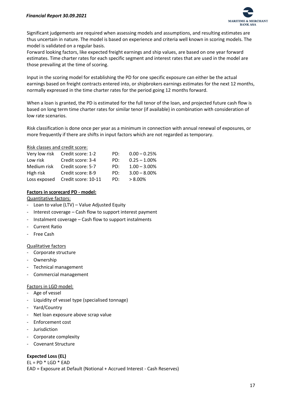

Significant judgements are required when assessing models and assumptions, and resulting estimates are thus uncertain in nature. The model is based on experience and criteria well known in scoring models. The model is validated on a regular basis.

Forward looking factors, like expected freight earnings and ship values, are based on one year forward estimates. Time charter rates for each specific segment and interest rates that are used in the model are those prevailing at the time of scoring.

Input in the scoring model for establishing the PD for one specific exposure can either be the actual earnings based on freight contracts entered into, or shipbrokers earnings estimates for the next 12 months, normally expressed in the time charter rates for the period going 12 months forward.

When a loan is granted, the PD is estimated for the full tenor of the loan, and projected future cash flow is based on long term time charter rates for similar tenor (if available) in combination with consideration of low rate scenarios.

Risk classification is done once per year as a minimum in connection with annual renewal of exposures, or more frequently if there are shifts in input factors which are not regarded as temporary.

## Risk classes and credit score:

|             | Very low risk Credit score: 1-2  | PD: | $0.00 - 0.25%$  |
|-------------|----------------------------------|-----|-----------------|
| Low risk    | Credit score: 3-4                | PD: | $0.25 - 1.00\%$ |
| Medium risk | Credit score: 5-7                | PD: | $1.00 - 3.00\%$ |
| High risk   | Credit score: 8-9                | PD: | $3.00 - 8.00\%$ |
|             | Loss exposed Credit score: 10-11 | PD: | $> 8.00\%$      |

# **Factors in scorecard PD - model:**

### Quantitative factors:

- Loan to value (LTV) Value Adjusted Equity
- Interest coverage Cash flow to support interest payment
- Instalment coverage Cash flow to support instalments
- Current Ratio
- **Free Cash**

# Qualitative factors

- Corporate structure
- Ownership
- Technical management
- Commercial management

#### Factors in LGD model:

- Age of vessel
- Liquidity of vessel type (specialised tonnage)
- Yard/Country
- Net loan exposure above scrap value
- Enforcement cost
- Jurisdiction
- Corporate complexity
- Covenant Structure

# **Expected Loss (EL)**

 $EL = PD * LGD * EAD$ EAD = Exposure at Default (Notional + Accrued Interest - Cash Reserves)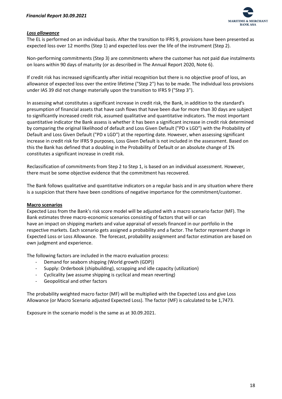

# <span id="page-18-0"></span>*Loss allowance*

The EL is performed on an individual basis. After the transition to IFRS 9, provisions have been presented as expected loss over 12 months (Step 1) and expected loss over the life of the instrument (Step 2).

Non-performing commitments (Step 3) are commitments where the customer has not paid due instalments on loans within 90 days of maturity (or as described in The Annual Report 2020, Note 6).

If credit risk has increased significantly after initial recognition but there is no objective proof of loss, an allowance of expected loss over the entire lifetime ("Step 2") has to be made. The individual loss provisions under IAS 39 did not change materially upon the transition to IFRS 9 ("Step 3").

In assessing what constitutes a significant increase in credit risk, the Bank, in addition to the standard's presumption of financial assets that have cash flows that have been due for more than 30 days are subject to significantly increased credit risk, assumed qualitative and quantitative indicators. The most important quantitative indicator the Bank assess is whether it has been a significant increase in credit risk determined by comparing the original likelihood of default and Loss Given Default ("PD x LGD") with the Probability of Default and Loss Given Default ("PD x LGD") at the reporting date. However, when assessing significant increase in credit risk for IFRS 9 purposes, Loss Given Default is not included in the assessment. Based on this the Bank has defined that a doubling in the Probability of Default or an absolute change of 1% constitutes a significant increase in credit risk.

Reclassification of commitments from Step 2 to Step 1, is based on an individual assessment. However, there must be some objective evidence that the commitment has recovered.

The Bank follows qualitative and quantitative indicators on a regular basis and in any situation where there is a suspicion that there have been conditions of negative importance for the commitment/customer.

#### **Macro scenarios**

Expected Loss from the Bank's risk score model will be adjusted with a macro scenario factor (MF). The Bank estimates three macro-economic scenarios consisting of factors that will or can have an impact on shipping markets and value appraisal of vessels financed in our portfolio in the respective markets. Each scenario gets assigned a probability and a factor. The factor represent change in Expected Loss or Loss Allowance. The forecast, probability assignment and factor estimation are based on own judgment and experience.

The following factors are included in the macro evaluation process:

- Demand for seaborn shipping (World growth (GDP))
- Supply: Orderbook (shipbuilding), scrapping and idle capacity (utilization)
- Cyclicality (we assume shipping is cyclical and mean reverting)
- Geopolitical and other factors

The probability weighted macro factor (MF) will be multiplied with the Expected Loss and give Loss Allowance (or Macro Scenario adjusted Expected Loss). The factor (MF) is calculated to be 1,7473.

Exposure in the scenario model is the same as at 30.09.2021.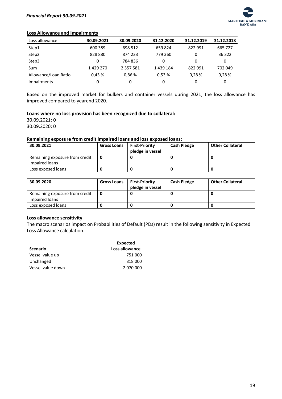

#### **Loss Allowance and Impairments**

| Loss allowance       | 30.09.2021 | 30.09.2020    | 31.12.2020 | 31.12.2019 | 31.12.2018 |
|----------------------|------------|---------------|------------|------------|------------|
| Step1                | 600 389    | 698 512       | 659824     | 822 991    | 665 727    |
| Step2                | 828880     | 874 233       | 779 360    | 0          | 36 322     |
| Step3                | 0          | 784836        | 0          |            | 0          |
| Sum                  | 1429270    | 2 3 5 7 5 8 1 | 1439184    | 822 991    | 702 049    |
| Allowance/Loan Ratio | 0.43%      | 0.86%         | 0,53%      | 0.28%      | 0.28%      |
| <b>Impairments</b>   | 0          | 0             | 0          |            | 0          |

Based on the improved market for bulkers and container vessels during 2021, the loss allowance has improved compared to yearend 2020.

#### **Loans where no loss provision has been recognized due to collateral:**

30.09.2021: 0 30.09.2020: 0

#### **Remaining exposure from credit impaired loans and loss exposed loans:**

| 30.09.2021                                       | <b>Gross Loans</b> | <b>First-Priority</b><br>pledge in vessel | <b>Cash Pledge</b> | <b>Other Collateral</b> |
|--------------------------------------------------|--------------------|-------------------------------------------|--------------------|-------------------------|
| Remaining exposure from credit<br>impaired loans |                    |                                           |                    |                         |
| Loss exposed loans                               |                    |                                           |                    |                         |

| 30.09.2020                                       | <b>Gross Loans</b> | <b>First-Priority</b><br>pledge in vessel | <b>Cash Pledge</b> | <b>Other Collateral</b> |
|--------------------------------------------------|--------------------|-------------------------------------------|--------------------|-------------------------|
| Remaining exposure from credit<br>impaired loans |                    |                                           |                    |                         |
| Loss exposed loans                               |                    |                                           |                    |                         |

#### **Loss allowance sensitivity**

The macro scenarios impact on Probabilities of Default (PDs) result in the following sensitivity in Expected Loss Allowance calculation.

|                   | <b>Expected</b> |
|-------------------|-----------------|
| <b>Scenario</b>   | Loss allowance  |
| Vessel value up   | 751 000         |
| Unchanged         | 818 000         |
| Vessel value down | 2 070 000       |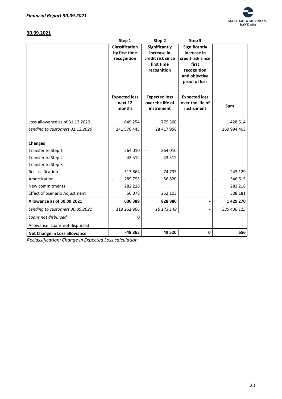

# **30.09.2021**

|                                      | Step 1                | Step 2               | Step 3               |             |
|--------------------------------------|-----------------------|----------------------|----------------------|-------------|
|                                      | <b>Classification</b> | <b>Significantly</b> | Significantly        |             |
|                                      | by first time         | increase in          | increase in          |             |
|                                      | recognition           | credit risk since    | credit risk since    |             |
|                                      |                       | first time           | first                |             |
|                                      |                       | recognition          | recognition          |             |
|                                      |                       |                      | and objective        |             |
|                                      |                       |                      | proof of loss        |             |
|                                      |                       |                      |                      |             |
|                                      | <b>Expected loss</b>  | <b>Expected loss</b> | <b>Expected loss</b> |             |
|                                      | next 12               | over the life of     | over the life of     | <b>Sum</b>  |
|                                      | months                | instrument           | instrument           |             |
| Loss allowance as of 31.12.2020      | 649 254               | 779 360              |                      | 1 428 614   |
|                                      |                       |                      |                      |             |
| Lending to customers 31.12.2020      | 241 576 445           | 28 417 958           |                      | 269 994 403 |
|                                      |                       |                      |                      |             |
| <b>Changes</b>                       |                       |                      |                      |             |
| Transfer to Step 1                   | 264 010               | 264 010              |                      |             |
| Transfer to Step 2                   | 43 5 12               | 43 5 12              |                      |             |
| Transfer to Step 3                   |                       |                      |                      |             |
| Reclassification                     | 317864                | 74 735               |                      | 243 129     |
| Amortization                         | 289 795               | 56 820               |                      | 346 615     |
| New commitments                      | 282 218               |                      |                      | 282 218     |
| <b>Effect of Scenario Adjustment</b> | 56078                 | 252 103              |                      | 308 181     |
| Allowance as of 30.09.2021           | 600 389               | 828 880              |                      | 1 429 270   |
| Lending to customers 30.09.2021      | 319 262 966           | 16 173 149           |                      | 335 436 115 |
| Loans not disbursed                  | 0                     |                      |                      |             |
| Allowanse: Loans not dispursed       |                       |                      |                      |             |
| Net Change in Loss allowance         | -48 865               | 49 5 20              | $\mathbf 0$          | 656         |

*Reclassification: Change in Expected Loss calculation*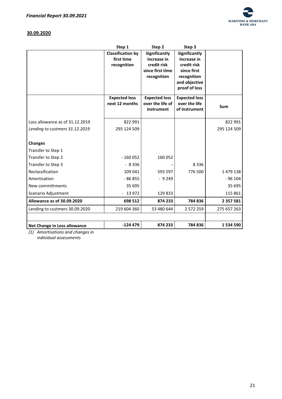

# **30.09.2020**

|                                 | Step 1                   | Step 2               | Step 3                       |               |
|---------------------------------|--------------------------|----------------------|------------------------------|---------------|
|                                 | <b>Classification by</b> | Significantly        | Significantly                |               |
|                                 | first time               | increase in          | increase in                  |               |
|                                 | recognition              | credit risk          | credit risk                  |               |
|                                 |                          | since first time     | since first                  |               |
|                                 |                          | recognition          | recognition<br>and objective |               |
|                                 |                          |                      | proof of loss                |               |
|                                 | <b>Expected loss</b>     | <b>Expected loss</b> | <b>Expected loss</b>         |               |
|                                 | next 12 months           | over the life of     | over the life                |               |
|                                 |                          | instrument           | of instrument                | Sum           |
|                                 |                          |                      |                              |               |
| Loss allowance as of 31.12.2019 | 822 991                  |                      |                              | 822 991       |
| Lending to custmers 31.12.2019  | 295 124 509              |                      |                              | 295 124 509   |
|                                 |                          |                      |                              |               |
| <b>Changes</b>                  |                          |                      |                              |               |
| Transfer to Step 1              |                          |                      |                              |               |
| Transfer to Step 2              | $-160052$                | 160052               |                              |               |
| Transfer to Step 3              | $-8336$                  |                      | 8 3 3 6                      |               |
| Reclassification                | 109 041                  | 593 597              | 776 500                      | 1479138       |
| Amortisation                    | $-86855$                 | $-9249$              |                              | $-96104$      |
| New committments                | 35 695                   |                      |                              | 35 695        |
| Scenario Adjustment             | $-13972$                 | 129833               |                              | 115 861       |
| Allowance as of 30.09.2020      | 698 512                  | 874 233              | 784 836                      | 2 3 5 7 5 8 1 |
| Lending to custmers 30.09.2020  | 219 604 360              | 53 480 644           | 2 572 259                    | 275 657 263   |
|                                 |                          |                      |                              |               |
| Net Change in Loss allowance    | $-124479$                | 874 233              | 784 836                      | 1 534 590     |

*(1) Amortisations and changes in individual assessments*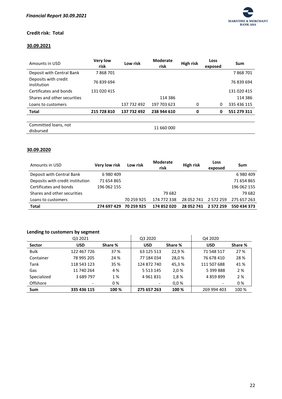

# **Credit risk: Total**

# **30.09.2021**

| Amounts in USD                      | <b>Very low</b><br>risk | Low risk    | <b>Moderate</b><br>risk | High risk | Loss<br>exposed | Sum         |
|-------------------------------------|-------------------------|-------------|-------------------------|-----------|-----------------|-------------|
| Deposit with Central Bank           | 7868701                 |             |                         |           |                 | 7868701     |
| Deposits with credit<br>institution | 76 839 694              |             |                         |           |                 | 76 839 694  |
| Certificates and bonds              | 131 020 415             |             |                         |           |                 | 131 020 415 |
| Shares and other securities         |                         |             | 114 386                 |           |                 | 114 386     |
| Loans to customers                  |                         | 137 732 492 | 197 703 623             | 0         | 0               | 335 436 115 |
| <b>Total</b>                        | 215 728 810             | 137 732 492 | 238 944 610             | 0         | 0               | 551 279 311 |
|                                     |                         |             |                         |           |                 |             |
| Committed loans, not<br>disbursed   |                         |             | 11 660 000              |           |                 |             |

# **30.09.2020**

| Amounts in USD                   | <b>Very low risk</b> | Low risk   | <b>Moderate</b><br>risk | <b>High risk</b> | Loss<br>exposed | Sum         |
|----------------------------------|----------------------|------------|-------------------------|------------------|-----------------|-------------|
| Deposit with Central Bank        | 6980409              |            |                         |                  |                 | 6980409     |
| Deposits with credit institution | 71 654 865           |            |                         |                  |                 | 71 654 865  |
| Certificates and bonds           | 196 062 155          |            |                         |                  |                 | 196 062 155 |
| Shares and other securities      |                      |            | 79 682                  |                  |                 | 79 682      |
| Loans to customers               |                      | 70 259 925 | 174 772 338             | 28 052 741       | 2 572 259       | 275 657 263 |
| <b>Total</b>                     | 274 697 429          | 70 259 925 | 174 852 020             | 28 052 741       | 2 572 259       | 550 434 373 |

# **Lending to customers by segment**

|               | <b>CONTRACTO CONTROLLERS BY SUBJILICITY</b> |         |               |         |             |         |
|---------------|---------------------------------------------|---------|---------------|---------|-------------|---------|
|               | Q3 2021                                     |         | Q3 2020       |         | Q4 2020     |         |
| <b>Sector</b> | <b>USD</b>                                  | Share % | <b>USD</b>    | Share % | <b>USD</b>  | Share % |
| <b>Bulk</b>   | 122 467 726                                 | 37 %    | 63 125 513    | 22.9%   | 71 548 517  | 27 %    |
| Container     | 78 995 205                                  | 24 %    | 77 184 034    | 28,0%   | 76 678 410  | 28 %    |
| Tank          | 118 543 123                                 | 35 %    | 124 872 740   | 45,3%   | 111 507 688 | 41 %    |
| Gas           | 11 740 264                                  | 4 %     | 5 5 1 3 1 4 5 | 2,0%    | 5 399 888   | 2 %     |
| Specialized   | 3 689 797                                   | 1 %     | 4961831       | 1,8%    | 4 859 899   | 2 %     |
| Offshore      |                                             | 0%      |               | 0.0%    |             | 0%      |
| Sum           | 335 436 115                                 | 100 %   | 275 657 263   | 100 %   | 269 994 403 | 100 %   |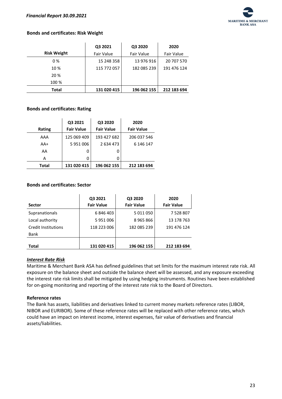

## **Bonds and certificates: Risk Weight**

|                    | Q3 2021     | Q3 2020     | 2020        |
|--------------------|-------------|-------------|-------------|
| <b>Risk Weight</b> | Fair Value  | Fair Value  | Fair Value  |
| 0%                 | 15 248 358  | 13 976 916  | 20 707 570  |
| 10 %               | 115 772 057 | 182 085 239 | 191 476 124 |
| 20 %               |             |             |             |
| 100 %              |             |             |             |
| <b>Total</b>       | 131 020 415 | 196 062 155 | 212 183 694 |

#### **Bonds and certificates: Rating**

|        | Q3 2021           | Q3 2020           | 2020              |
|--------|-------------------|-------------------|-------------------|
| Rating | <b>Fair Value</b> | <b>Fair Value</b> | <b>Fair Value</b> |
| AAA    | 125 069 409       | 193 427 682       | 206 037 546       |
| $AA+$  | 5951006           | 2634473           | 6 146 147         |
| AA     | 0                 | 0                 |                   |
| Α      | n                 | 0                 |                   |
| Total  | 131 020 415       | 196 062 155       | 212 183 694       |

#### **Bonds and certificates: Sector**

| <b>Sector</b>       | Q3 2021<br><b>Fair Value</b> | Q3 2020<br><b>Fair Value</b> | 2020<br><b>Fair Value</b> |
|---------------------|------------------------------|------------------------------|---------------------------|
| Supranationals      | 6846403                      | 5 011 050                    | 7 528 807                 |
| Local authority     | 5951006                      | 8965866                      | 13 178 763                |
| Credit Institutions | 118 223 006                  | 182 085 239                  | 191 476 124               |
| Bank                |                              |                              |                           |
| <b>Total</b>        | 131 020 415                  | 196 062 155                  | 212 183 694               |

#### <span id="page-23-0"></span>*Interest Rate Risk*

Maritime & Merchant Bank ASA has defined guidelines that set limits for the maximum interest rate risk. All exposure on the balance sheet and outside the balance sheet will be assessed, and any exposure exceeding the interest rate risk limits shall be mitigated by using hedging instruments. Routines have been established for on-going monitoring and reporting of the interest rate risk to the Board of Directors.

#### **Reference rates**

The Bank has assets, liabilities and derivatives linked to current money markets reference rates (LIBOR, NIBOR and EURIBOR). Some of these reference rates will be replaced with other reference rates, which could have an impact on interest income, interest expenses, fair value of derivatives and financial assets/liabilities.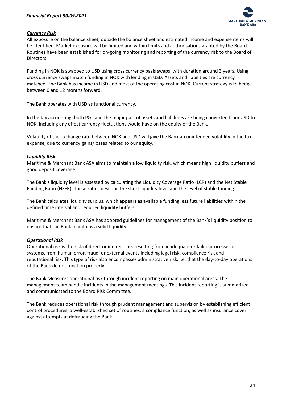

# <span id="page-24-0"></span>*Currency Risk*

All exposure on the balance sheet, outside the balance sheet and estimated income and expense items will be identified. Market exposure will be limited and within limits and authorisations granted by the Board. Routines have been established for on-going monitoring and reporting of the currency risk to the Board of Directors.

Funding in NOK is swapped to USD using cross currency basis swaps, with duration around 3 years. Using cross currency swaps match funding in NOK with lending in USD. Assets and liabilities are currency matched. The Bank has income in USD and most of the operating cost in NOK. Current strategy is to hedge between 0 and 12 months forward.

The Bank operates with USD as functional currency.

In the tax accounting, both P&L and the major part of assets and liabilities are being converted from USD to NOK, including any effect currency fluctuations would have on the equity of the Bank.

Volatility of the exchange rate between NOK and USD will give the Bank an unintended volatility in the tax expense, due to currency gains/losses related to our equity.

# <span id="page-24-1"></span>*Liquidity Risk*

Maritime & Merchant Bank ASA aims to maintain a low liquidity risk, which means high liquidity buffers and good deposit coverage.

The Bank's liquidity level is assessed by calculating the Liquidity Coverage Ratio (LCR) and the Net Stable Funding Ratio (NSFR). These ratios describe the short liquidity level and the level of stable funding.

The Bank calculates liquidity surplus, which appears as available funding less future liabilities within the defined time interval and required liquidity buffers.

Maritime & Merchant Bank ASA has adopted guidelines for management of the Bank's liquidity position to ensure that the Bank maintains a solid liquidity.

# <span id="page-24-2"></span>*Operational Risk*

Operational risk is the risk of direct or indirect loss resulting from inadequate or failed processes or systems, from human error, fraud, or external events including legal risk, compliance risk and reputational risk. This type of risk also encompasses administrative risk, i.e. that the day-to-day operations of the Bank do not function properly.

The Bank Measures operational risk through incident reporting on main operational areas. The management team handle incidents in the management meetings. This incident reporting is summarized and communicated to the Board Risk Committee.

The Bank reduces operational risk through prudent management and supervision by establishing efficient control procedures, a well-established set of routines, a compliance function, as well as insurance cover against attempts at defrauding the Bank.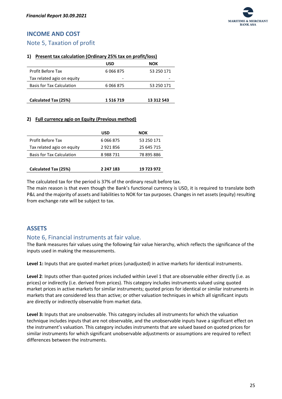# <span id="page-25-0"></span>**INCOME AND COST**

# <span id="page-25-1"></span>Note 5, Taxation of profit

## **1) Present tax calculation (Ordinary 25% tax on profit/loss)**

|                                  | USD       | NOK        |
|----------------------------------|-----------|------------|
| <b>Profit Before Tax</b>         | 6066875   | 53 250 171 |
| Tax related agio on equity       | -         |            |
| <b>Basis for Tax Calculation</b> | 6 066 875 | 53 250 171 |
|                                  |           |            |
| Calculated Tax (25%)             | 1516719   | 13 312 543 |

## **2) Full currency agio on Equity (Previous method)**

|                                  | USD       | NOK        |
|----------------------------------|-----------|------------|
| Profit Before Tax                | 6 066 875 | 53 250 171 |
| Tax related agio on equity       | 2921856   | 25 645 715 |
| <b>Basis for Tax Calculation</b> | 8988731   | 78 895 886 |
|                                  |           |            |
| Calculated Tax (25%)             | 2 247 183 | 19 723 972 |

The calculated tax for the period is 37% of the ordinary result before tax.

The main reason is that even though the Bank's functional currency is USD, it is required to translate both P&L and the majority of assets and liabilities to NOK for tax purposes. Changes in net assets (equity) resulting from exchange rate will be subject to tax.

# <span id="page-25-2"></span>**ASSETS**

# <span id="page-25-3"></span>Note 6, Financial instruments at fair value.

The Bank measures fair values using the following fair value hierarchy, which reflects the significance of the inputs used in making the measurements.

**Level 1:** Inputs that are quoted market prices (unadjusted) in active markets for identical instruments.

**Level 2**: Inputs other than quoted prices included within Level 1 that are observable either directly (i.e. as prices) or indirectly (i.e. derived from prices). This category includes instruments valued using quoted market prices in active markets for similar instruments; quoted prices for identical or similar instruments in markets that are considered less than active; or other valuation techniques in which all significant inputs are directly or indirectly observable from market data.

**Level 3:** Inputs that are unobservable. This category includes all instruments for which the valuation technique includes inputs that are not observable, and the unobservable inputs have a significant effect on the instrument's valuation. This category includes instruments that are valued based on quoted prices for similar instruments for which significant unobservable adjustments or assumptions are required to reflect differences between the instruments.

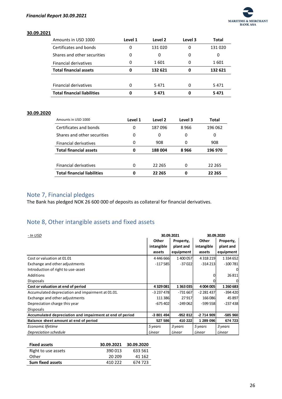

#### **30.09.2021**

| Amounts in USD 1000                | Level 1 | Level 2 | Level 3 | Total   |
|------------------------------------|---------|---------|---------|---------|
| Certificates and bonds             | 0       | 131020  | 0       | 131020  |
| Shares and other securities        | 0       | 0       | 0       | 0       |
| <b>Financial derivatives</b>       | 0       | 1 601   | 0       | 1 601   |
| <b>Total financial assets</b>      | 0       | 132 621 | 0       | 132 621 |
|                                    |         |         |         |         |
| <b>Financial derivatives</b>       | 0       | 5471    |         | 5471    |
| <b>Total financial liabilities</b> |         | 5471    | 0       | 5471    |

## **30.09.2020**

| Amounts in USD 1000                | Level 1 | Level 2 | Level 3 | Total   |
|------------------------------------|---------|---------|---------|---------|
| Certificates and bonds             | 0       | 187096  | 8966    | 196 062 |
| Shares and other securities        | 0       | 0       | 0       | 0       |
| <b>Financial derivatives</b>       | 0       | 908     | 0       | 908     |
| <b>Total financial assets</b>      | 0       | 188004  | 8966    | 196 970 |
|                                    |         |         |         |         |
| <b>Financial derivatives</b>       | 0       | 22 265  | 0       | 22 265  |
| <b>Total financial liabilities</b> | 0       | 22 265  | 0       | 22 265  |

# <span id="page-26-0"></span>Note 7, Financial pledges

The Bank has pledged NOK 26 600 000 of deposits as collateral for financial derivatives.

# <span id="page-26-1"></span>Note 8, Other intangible assets and fixed assets

| - In USD                                                 |            | 30.09.2021 | 30.09.2020      |               |  |
|----------------------------------------------------------|------------|------------|-----------------|---------------|--|
|                                                          | Other      | Property,  | <b>Other</b>    | Property,     |  |
|                                                          | intangible | plant and  | intangible      | plant and     |  |
|                                                          | assets     | equipment  | assets          | equipment     |  |
| Cost or valuation at 01.01                               | 4446666    | 1 400 057  | 4 3 1 8 2 1 9 1 | 1 3 3 4 6 5 2 |  |
| Exchange and other adjustments                           | $-117585$  | $-37022$   | $-314213$       | $-100781$     |  |
| Introduction of right to use-asset                       |            |            |                 | 0             |  |
| Additions                                                |            |            | 0               | 26 811        |  |
| <b>Disposals</b>                                         |            |            |                 | 0             |  |
| Cost or valuation at end of period                       | 4329081    | 1 363 035  | 4 004 005       | 1 260 683     |  |
| Accumulated depreciation and impairment at 01.01.        | $-3237478$ | $-731667$  | -2 281 437      | -394 420      |  |
| Exchange and other adjustments                           | 111 386    | 27917      | 166 086         | 45 897        |  |
| Depreciation charge this year                            | $-675402$  | $-249062$  | -599 5581       | $-237438$     |  |
| <b>Disposals</b>                                         |            |            |                 |               |  |
| Accumulated depreciation and impairment at end of period | $-3801494$ | $-952812$  | $-2714909$      | -585 960      |  |
| Balance sheet amount at end of period                    | 527 586    | 410 222    | 1 289 096       | 674 723       |  |
| Economic lifetime                                        | 5 years    | 3 years    | 5 years         | 3 years       |  |
| Depreciation schedule                                    | Linear     | Linear     | Linear          | Linear        |  |

| <b>Fixed assets</b>     | 30.09.2021 | 30.09.2020 |
|-------------------------|------------|------------|
| Right to use assets     | 390 013    | 633 561    |
| Other                   | 20.209     | 41 162     |
| <b>Sum fixed assets</b> | 410 222    | 674 723    |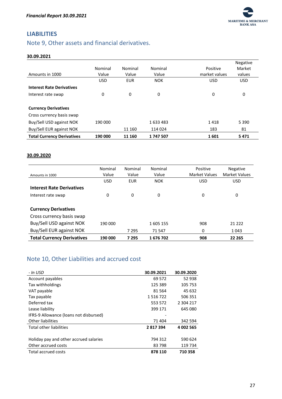

# <span id="page-27-0"></span>**LIABILITIES**

# <span id="page-27-1"></span>Note 9, Other assets and financial derivatives.

## **30.09.2021**

|                                   |            |            |            |               | Negative   |
|-----------------------------------|------------|------------|------------|---------------|------------|
|                                   | Nominal    | Nominal    | Nominal    | Positive      | Market     |
| Amounts in 1000                   | Value      | Value      | Value      | market values | values     |
|                                   | <b>USD</b> | <b>EUR</b> | <b>NOK</b> | <b>USD</b>    | <b>USD</b> |
| <b>Interest Rate Derivatives</b>  |            |            |            |               |            |
| Interest rate swap                | 0          | 0          | 0          | 0             | 0          |
|                                   |            |            |            |               |            |
| <b>Currency Derivatives</b>       |            |            |            |               |            |
| Cross currency basis swap         |            |            |            |               |            |
| Buy/Sell USD against NOK          | 190 000    |            | 1633483    | 1418          | 5 3 9 0    |
| Buy/Sell EUR against NOK          |            | 11 160     | 114 024    | 183           | 81         |
| <b>Total Currency Derivatives</b> | 190 000    | 11 160     | 1747507    | 1601          | 5471       |

### **30.09.2020**

| Amounts in 1000                   | Nominal<br>Value | Nominal<br>Value | Nominal<br>Value | Positive<br><b>Market Values</b> | <b>Negative</b><br><b>Market Values</b> |
|-----------------------------------|------------------|------------------|------------------|----------------------------------|-----------------------------------------|
|                                   | <b>USD</b>       | <b>EUR</b>       | <b>NOK</b>       | <b>USD</b>                       | <b>USD</b>                              |
| <b>Interest Rate Derivatives</b>  |                  |                  |                  |                                  |                                         |
| Interest rate swap                | 0                | 0                | 0                | 0                                | 0                                       |
|                                   |                  |                  |                  |                                  |                                         |
| <b>Currency Derivatives</b>       |                  |                  |                  |                                  |                                         |
| Cross currency basis swap         |                  |                  |                  |                                  |                                         |
| Buy/Sell USD against NOK          | 190 000          |                  | 1605 155         | 908                              | 21 222                                  |
| Buy/Sell EUR against NOK          |                  | 7 2 9 5          | 71 547           | 0                                | 1 0 4 3                                 |
| <b>Total Currency Derivatives</b> | 190 000          | 7 2 9 5          | 1676702          | 908                              | 22 2 65                                 |

# <span id="page-27-2"></span>Note 10, Other Liabilities and accrued cost

| - In USD                               | 30.09.2021 | 30.09.2020 |
|----------------------------------------|------------|------------|
| Account payables                       | 69 572     | 52 938     |
| Tax withholdings                       | 125 389    | 105 753    |
| VAT payable                            | 81 564     | 45 632     |
| Tax payable                            | 1516722    | 506 351    |
| Deferred tax                           | 553 572    | 2 304 217  |
| Lease liability                        | 399 171    | 645 080    |
| IFRS-9 Allowance (loans not disbursed) |            |            |
| <b>Other liabilities</b>               | 71 404     | 342 594    |
| <b>Total other liabilities</b>         | 2817394    | 4 002 565  |
|                                        |            |            |
| Holiday pay and other accrued salaries | 794 312    | 590 624    |
| Other accrued costs                    | 83 798     | 119 734    |
| <b>Total accrued costs</b>             | 878 110    | 710 358    |